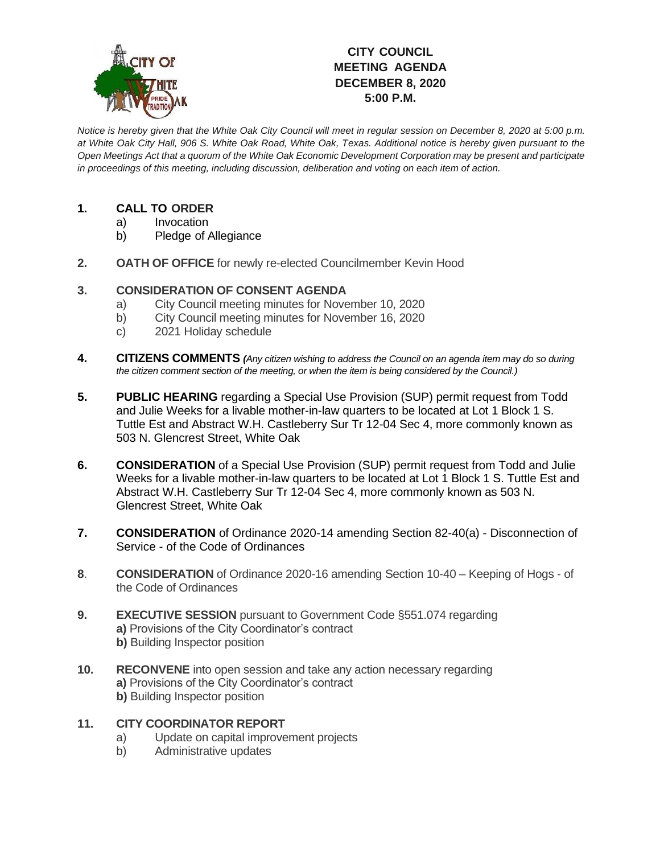

## **CITY COUNCIL MEETING AGENDA DECEMBER 8, 2020 5:00 P.M.**

*Notice is hereby given that the White Oak City Council will meet in regular session on December 8, 2020 at 5:00 p.m. at White Oak City Hall, 906 S. White Oak Road, White Oak, Texas. Additional notice is hereby given pursuant to the Open Meetings Act that a quorum of the White Oak Economic Development Corporation may be present and participate in proceedings of this meeting, including discussion, deliberation and voting on each item of action.*

## **1. CALL TO ORDER**

- a) Invocation
- b) Pledge of Allegiance
- **2. OATH OF OFFICE** for newly re-elected Councilmember Kevin Hood

## **3. CONSIDERATION OF CONSENT AGENDA**

- a) City Council meeting minutes for November 10, 2020
- b) City Council meeting minutes for November 16, 2020
- c) 2021 Holiday schedule
- **4. CITIZENS COMMENTS** *(Any citizen wishing to address the Council on an agenda item may do so during the citizen comment section of the meeting, or when the item is being considered by the Council.)*
- **5. PUBLIC HEARING** regarding a Special Use Provision (SUP) permit request from Todd and Julie Weeks for a livable mother-in-law quarters to be located at Lot 1 Block 1 S. Tuttle Est and Abstract W.H. Castleberry Sur Tr 12-04 Sec 4, more commonly known as 503 N. Glencrest Street, White Oak
- **6. CONSIDERATION** of a Special Use Provision (SUP) permit request from Todd and Julie Weeks for a livable mother-in-law quarters to be located at Lot 1 Block 1 S. Tuttle Est and Abstract W.H. Castleberry Sur Tr 12-04 Sec 4, more commonly known as 503 N. Glencrest Street, White Oak
- **7. CONSIDERATION** of Ordinance 2020-14 amending Section 82-40(a) Disconnection of Service - of the Code of Ordinances
- **8**. **CONSIDERATION** of Ordinance 2020-16 amending Section 10-40 Keeping of Hogs of the Code of Ordinances
- **9. EXECUTIVE SESSION** pursuant to Government Code §551.074 regarding **a)** Provisions of the City Coordinator's contract **b)** Building Inspector position
- **10. RECONVENE** into open session and take any action necessary regarding **a)** Provisions of the City Coordinator's contract **b)** Building Inspector position
- **11. CITY COORDINATOR REPORT**
	- a) Update on capital improvement projects
	- b) Administrative updates